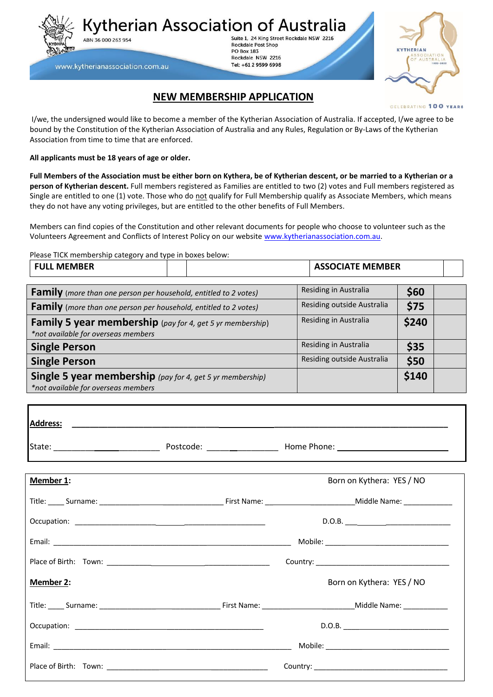Kytherian Association of Australia ABN 36 000 263 954

Suite 1, 24 King Street Rockdale NSW 2216 **Rockdale Post Shop PO Box 183** Rockdale NSW 2216 Tel: +61 2 9599 6998



## **NEW MEMBERSHIP APPLICATION**

**CELEBRATING 100 YEARS** 

I/we, the undersigned would like to become a member of the Kytherian Association of Australia. If accepted, I/we agree to be bound by the Constitution of the Kytherian Association of Australia and any Rules, Regulation or By-Laws of the Kytherian Association from time to time that are enforced.

**All applicants must be 18 years of age or older.**

www.kytherianassociation.com.au

**Full Members of the Association must be either born on Kythera, be of Kytherian descent, or be married to a Kytherian or a person of Kytherian descent.** Full members registered as Families are entitled to two (2) votes and Full members registered as Single are entitled to one (1) vote. Those who do not qualify for Full Membership qualify as Associate Members, which means they do not have any voting privileges, but are entitled to the other benefits of Full Members.

Members can find copies of the Constitution and other relevant documents for people who choose to volunteer such as the Volunteers Agreement and Conflicts of Interest Policy on our website [www.kytherianassociation.com.au.](http://www.kytherianassociation.com.au/)

Please TICK membership category and type in boxes below:

| <b>FULL MEMBER</b>                                                                                      |  | <b>ASSOCIATE MEMBER</b>       |       |
|---------------------------------------------------------------------------------------------------------|--|-------------------------------|-------|
| <b>Family</b> (more than one person per household, entitled to 2 votes)                                 |  | Residing in Australia         | \$60  |
| <b>Family</b> (more than one person per household, entitled to 2 votes)                                 |  | Residing outside Australia    | \$75  |
| <b>Family 5 year membership</b> (pay for 4, get 5 yr membership)<br>*not available for overseas members |  | Residing in Australia         | \$240 |
| <b>Single Person</b>                                                                                    |  | Residing in Australia<br>\$35 |       |
| <b>Single Person</b>                                                                                    |  | Residing outside Australia    | \$50  |
| <b>Single 5 year membership</b> (pay for 4, get 5 yr membership)<br>*not available for overseas members |  |                               | \$140 |

| Member 1: | Born on Kythera: YES / NO |
|-----------|---------------------------|
|           |                           |
|           | D.O.B.                    |
|           |                           |
|           |                           |
| Member 2: | Born on Kythera: YES / NO |
|           |                           |
|           | D.O.B.                    |
|           |                           |
|           |                           |